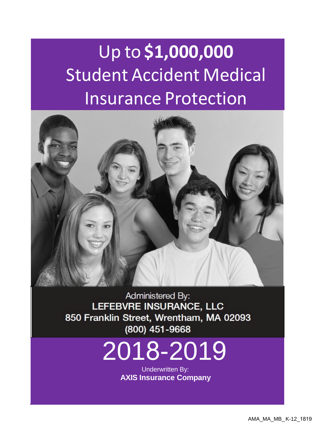# Up to **\$1,000,000** Student Accident Medical Insurance Protection



Administered By: LEFEBVRE INSURANCE, LLC 850 Franklin Street, Wrentham, MA 02093

# $\frac{(800)451-9668}{2018-2019}$

Underwritten By: **AXIS Insurance Company**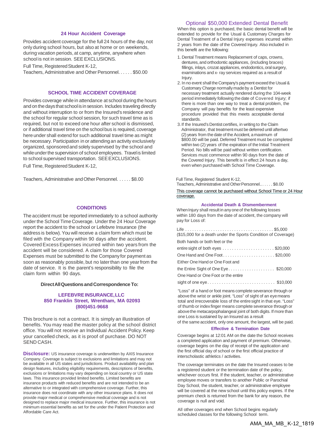#### Optional \$50,000 Extended Dental Benefit

#### **24 Hour Accident Coverage**

Provides accident coverage for the full 24 hours of the day, not only during school hours, but also at home or on weekends, during vacation periods, at camp, anytime, anywhere when school is not in session. SEE EXCLUSIONS.

Full Time, Registered Student K-12, Teachers, Administrative and Other Personnel. . . . . . \$50.00

#### **SCHOOL TIME ACCIDENT COVERAGE**

Provides coverage while in attendance at school during the hours and on the days that school is in session. Includes traveling directly and without interruption to or from the Insured's residence and the school for regular school session, for such travel time as is required, but not to exceed one hour after school is dismissed, or if additional travel time on the school bus is required, coverage here under shall extend for such additional travel time as might be necessary. Participation in or attendingan activity exclusively organized, sponsoredand solely supervised by the school and while under the supervision of school employees. Travel is limited to school supervised transportation. SEEEXCLUSIONS.

Full Time, Registered Student K-12,

Teachers, Administrative and Other Personnel. . . . . . \$8.00 Full Time, Registered Student K-12,

#### **CONDITIONS**

The accident must be reported immediately to a school authority under the School Time Coverage. Under the 24 Hour Coverage report the accident to the school or Lefebvre Insurance (the address is below).You will receive a claim form which must be filed with the Company within 90 days after the accident. Covered Excess Expenses incurred within two years from the accident will be considered. A claim for those Covered Expenses must be submitted to the Company for payment as soon as reasonably possible, but no later than one year from the date of service. It is the parent's responsibility to file the claim form within 90 days.

#### **DirectAllQuestionsandCorrespondence To:**

#### **LEFEBVRE INSURANCE,LLC 850 Franklin Street, Wrentham, MA 02093 (800)451-9668**

This brochure is not a contract. It is simply an illustration of benefits. You may read the master policy at the school district office. You will not receive an Individual Accident Policy.Keep your cancelled check, as it is proof of purchase. DO NOT SEND CASH.

**Disclosure:** US insurance coverage is underwritten by AXIS Insurance Company. Coverage is subject to exclusions and limitations and may not be available in all US states and jurisdictions. Product availability and plan design features, including eligibility requirements, descriptions of benefits, exclusions or limitations may vary depending on local country or US state laws. This insurance provided limited benefits. Limited benefits are insurance products with reduced benefits and are not intended to be an alternative to or integrated with comprehensive coverage. Further, this insurance does not coordinate with any other insurance plans. It does not provide major medical or comprehensive medical coverage and is not designed to replace major medical insurance. Further, this insurance is not minimum essential benefits as set for the under the Patient Protection and Affordable Care Act.

When this option is purchased, the basic dental benefit will be extended to provide for the Usual & Customary Charges for Dental Treatment of a Dental Injury expenses incurred within 2 years from the date of the Covered Injury. Also included in this benefit are the following:

- 1. Dental Treatment means Replacement of caps, crowns, dentures, and orthodontic appliances, (including braces) fillings, inlays, crozat appliances, endodontics, oral surgery, examinations and x- ray services required as a result of Injury.
- 2. In no event shall the Company's payment exceed the Usual & Customary Charge normallymadeby a Dentist for necessary treatment actually rendered during the 104-week period immediately following the date of Covered Injury; if there is more than one way to treat a dental problem, the Company will pay benefits for the least expensive procedure provided that this meets acceptable dental standards.
- 3.If the Insured's Dentist certifies, in writing to the Claim Administrator, that treatmentmust be deferred until aftertwo (2) years from the date of the Accident, a maximum of \$800.00 will be paid. Deferred Treatment must be completed within two (2) years of the expiration of the Initial Treatment Period. No bills will be paid without written certification. Services must commence within 90 days from the date of the Covered Injury. This benefit is in effect 24 hours a day, even when purchased with School Time Coverage.

Teachers, Administrative and Other Personnel... . . . . \$8.00

This coverage cannot be purchased without School Time or 24 Hour coverage.

#### **Accidental Death & Dismemberment**

When Injury shall result in any one of the following losses within 180 days from the date of accident, the company will pay for Loss of:

| (\$15,000 for a death under the Sports Condition of Coverage)                  |
|--------------------------------------------------------------------------------|
| Both hands or both feet or the                                                 |
| entire sight of both eyes $\ldots \ldots \ldots \ldots \ldots \ldots$ \$20,000 |
|                                                                                |
| Either One Hand or One Foot and                                                |
| the Entire Sight of One Eye\$20,000                                            |
| One Hand or One Foot or the entire                                             |
| sight of one eye $\dots\dots\dots\dots\dots\dots\dots\dots\dots$ \$10,000      |
|                                                                                |

"Loss" of a hand or foot means complete severance through or abovethe wrist or ankle joint. "Loss" of sight of an eyemeans total and irrecoverable loss of the entiresight in that eye. "Loss" of thumb or indexfinger means complete severance through or abovethe metacarpophalangeal joint of both digits. If more than one Loss is sustained by an Insured as a result

of the same accident, only one amount, the largest, will be paid. **Effective & Termination Date**

Coverage begins at 12:01 AM on the date the School receives a completed application and payment of premium. Otherwise, coverage begins on the day of receipt of the application and the first official day of school or the first official practice of interscholastic athletics / activities.

The coverage terminates on the date the Insured ceases to be a registered student or the termination date of the policy, whichever occurs first. If the student, teacher, or administrative employee moves or transfers to another Public or Parochial Day School, the student, teacher, or administrative employee will be covered at the new school until this policy expires. If the premium check is returned from the bank for any reason, the coverage is null and void.

All other coverages end when School begins regularly scheduled classes for the following School term.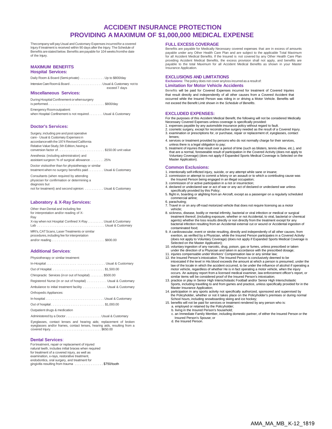#### **ACCIDENT INSURANCE PROTECTION PROVIDING A MAXIMUM OF \$1,000,000 MEDICAL EXPENSE**

Thecompany will pay Usual and Customary Expenses incurredfor a covered<br>Injury if treatment is received within 90 days after the Injury. The Schedule of Benefits arestated below. Benefits are payable for 104 weeks fromthe date of the Injury.

#### **MAXIMUM BENEFITS**

#### **Hospital Services:**

| Daily Room & Board (Semi-private)  Up to \$800/day   |               |
|------------------------------------------------------|---------------|
| Intensive Care Room & Board Usual & Customary not to |               |
|                                                      | exceed 7 days |

#### **Miscellaneous Services:**

During Hospital Confinement or when surgery is performed. . . . . . . . . . . . . . . . . . . . . . . . . . . . . . . . \$800/day

Emergency Roomoutpatient: when Hospital Confinement is not required . . . . . . . Usual & Customary

#### **Doctor's Services:**

Surgery, including pre and post operative care - Usual & Customary Expensesin accordance with the 1974 Revised California Relative Value Study, 5th Edition, having a conversion factor of . . . . . . . . . . . . . . . . . . . . . . . . . . \$150.00 unit value

Anesthesia: (including administration) and assistant surgeon: % of surgical allowance . . . . . . . . 25%

Doctor visitsother than for physiotherapy or similar treatment when no surgery benefitis paid . . . . . . . . . Usual & Customary

Consultants (when required by attending physician for confirmation or determining a diagnosis but not for treatment) and second opinion: . . . . . . . . . . . Usual & Customary

#### **Laboratory & X-Ray Services:**

Other than Dental and including fee for interpretation and/or reading of X-Ray X-ray when not Hospital Confined X-Ray . . . . . . . . . . Usual & Customary Lab . . . . . . . . . . . . . . . . . . . . . . . . . . . . . . . . . . . . . . Usual & Customary MRI's, CATScans, Laser Treatments or similar procedures,including fee for interpretation and/or reading . . . . . . . . . . . . . . . . . . . . . . . . . . . . . . \$800.00

#### **Additional Services**:

| Physiotherapy or similar treatment:                        |
|------------------------------------------------------------|
| In-Hospital Usual & Customary                              |
| Out of Hospital\$1,500.00                                  |
| Chiropractic Services (in or out of hospital)  \$500.00    |
| Registered Nurse (in or out of hospital) Usual & Customary |
| Ambulance to initial treatment facility Usual & Customary  |
| Orthopedic Appliances:                                     |
| In-hospital Usual & Customary                              |
|                                                            |
| Outpatient drugs & medication                              |
|                                                            |

Administered by a Doctor . . . . . . . . . . . . . . . . . . . . . Usual & Customary Eyeglasses, contact lenses and hearing aids; replacement of broken

eyeglasses and/or frames, contact lenses, hearing aids, resulting from a covered Injury. . . . . . . . . . . . . . . . . . .. . . . . . . . . . . . \$650.00

#### **Dental Services**:

Fortreatment, repair or replacement of injured natural teeth, includes initial braces when required for treatment of a covered injury, as well as examination, x-rays, restorative treatment, endodontics, oral surgery, and treatment for gingivitis resulting from trauma ................\$750/tooth

#### **FULL EXCESS COVERAGE**

Benefits are payable for Medically Necessary covered expenses that are in excess of amounts payable under any Other Health Care Plan and are subject to the applicable Total Maximum for all Accident Medical Benefits. If the Insured is not covered by any Other Health Care Plan providing Accident Medical Benefits, the excess provision shall not apply, and benefits are payable to the total Maximum for all Accident Medical Benefits as shown in your Master Insurance Application.

#### **EXCLUSIONS AND LIMITATIONS**

**Exclusions:** The policy does not cover anyloss incurred as a result of:

#### **Limitation for Motor Vehicle Accidents**

Benefits will be paid for Covered Expenses incurred for treatment of Covered Injuries that result directly and independently of all other causes from a Covered Accident that occurred while the Insured Person was riding in or driving a Motor Vehicle. Benefits will not exceed the Benefit Limit shown in the *Schedule of Benefits*.

#### **EXCLUDED EXPENSES:**

For the purposes of this Accident Medical Benefit, the following will not be considered Medically Necessary Covered Expenses unless coverage is specifically provided:

- 1. expenses payable by any automobile insurance policy without regard to fault.
- 2. cosmetic surgery, except for reconstructive surgery needed as the result of a Covered Injury. 3. examination or prescriptions for, or purchase, repair or replacement of, eyeglasses, contact
- lenses; 4. services or treatment provided by persons who do not normally charge for their services, unless there is a legal obligation to pay;
- 5. treatment of injuries that result over a period of time (such as blisters, tennis elbow, etc.), and that are a normal, foreseeable result of participation in the Covered Activity (does not apply to Voluntary Coverage) (does not apply if Expanded Sports Medical Coverage is Selected on the Master Application).

#### **Common Exclusions:**

- 1. intentionally self-inflicted injury, suicide, or any attempt while sane or insane;
- 2. commission or attempt to commit a felony or an assault or to which a contributing cause was the Insured Person being engaged in an illegal occupation;
- 3. commission of or active participation in a riot or insurrection;
- 4. declared or undeclared war or act of war or any act of declared or undeclared war unless specifically provided by this Policy; 5. flight in, boarding or alighting from an Aircraft, except as a passenger on a regularly scheduled
- commercial airline; 6. parachuting;
- 7. Travel in or on any off-road motorized vehicle that does not require licensing as a motor vehicle;
- 8. sickness, disease, bodily or mental infirmity, bacterial or viral infection or medical or surgical treatment thereof, (including exposure, whether or not Accidental, to viral, bacterial or chemical agents) whether the loss results directly or non directly from the treatment except for any bacterial infection resulting from an Accidental external cut or wound or Accidental ingestion of contaminated food;
- 9. A cardiovascular, event or stroke resulting, directly and independently of all other causes, from exertion, as verified by a Physician, while the Insured Person participates in a Covered Activity (does not apply to Voluntary Coverage) (does not apply if Expanded Sports Medical Coverage is Selected on the Master Application);
- 10. voluntary ingestion of any narcotic, drug, poison, gas or fumes, unless prescribed or taken under the direction of a Physician and taken in accordance with the prescribed dosage;
- 11. injuries compensable under Workers' Compensation law or any similar law; 12. the Insured Person's intoxication. The Insured Person is conclusively deemed to be
- intoxicated if the level in His blood exceeds the amount at which a person is presumed, under the law of the locale in which the accident occurred, to be under the influence of alcohol if operating a motor vehicle, regardless of whether He is in fact operating a motor vehicle, when the injury occurs. An autopsy report from a licensed medical examiner, law enforcement officer's report, or
- similar items will be considered proof of the Insured Person's intoxication; 13. practice or play in Senior High Interscholastic Football and/or Senior High Interscholastic Sports, including travelling to and from games and practice, unless specifically provided for in the Master Insurance Application;
- 14. participation in any sports activity not specifically authorized, sponsored and supervised by the Policyholder, whether or not it takes place on the Policyholder's premises or during normal School hours, including snowboarding skiing and ice hockey;
- 15. benefits will not be paid for services or treatment rendered by any person who is: a. employed or retained by the Policyholder;
	- b. living in the Insured Person's household;
	- c. an Immediate Family Member, including domestic partner, of either the Insured Person or the Insured Person's Spouse; or

d. the Insured Person.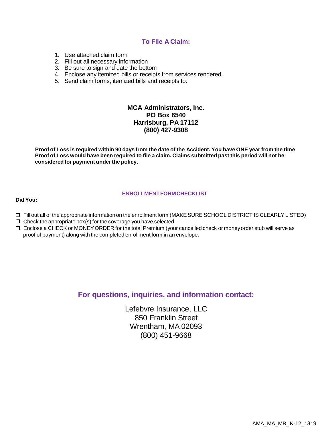#### **To File A Claim:**

- 1. Use attached claim form
- 2. Fill out all necessary information
- 3. Be sure to sign and date the bottom
- 4. Enclose any itemized bills or receipts from services rendered.
- 5. Send claim forms, itemized bills and receipts to:

#### **MCA Administrators, Inc. PO Box 6540 Harrisburg, PA 17112 (800) 427-9308**

Proof of Loss is required within 90 days from the date of the Accident. You have ONE year from the time Proof of Loss would have been required to file a claim. Claims submitted past this period will not be **considered for payment underthe policy.**

#### **ENROLLMENTFORMCHECKLIST**

#### **Did You:**

- Fill out all of the appropriate information on the enrollment form (MAKESURE SCHOOL DISTRICT IS CLEARLYLISTED)
- $\Box$  Check the appropriate box(s) for the coverage you have selected.
- Enclose a CHECK or MONEYORDER for the total Premium (your cancelled check or moneyorder stub will serve as proof of payment) along with the completed enrollment form in an envelope.

#### **For questions, inquiries, and information contact:**

Lefebvre Insurance, LLC 850 Franklin Street Wrentham, MA 02093 (800) 451-9668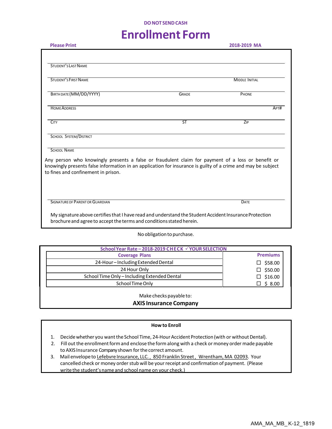#### **DONOT SENDCASH**

## **Enrollment Form**

| <b>Please Print</b>                                                                                                                                                                                                                                      |              | 2018-2019 MA          |  |  |  |  |  |  |
|----------------------------------------------------------------------------------------------------------------------------------------------------------------------------------------------------------------------------------------------------------|--------------|-----------------------|--|--|--|--|--|--|
|                                                                                                                                                                                                                                                          |              |                       |  |  |  |  |  |  |
| STUDENT'S LAST NAME                                                                                                                                                                                                                                      |              |                       |  |  |  |  |  |  |
| <b>STUDENT'S FIRST NAME</b>                                                                                                                                                                                                                              |              | <b>MIDDLE INITIAL</b> |  |  |  |  |  |  |
| BIRTH DATE (MM/DD/YYYY)                                                                                                                                                                                                                                  | <b>GRADE</b> | PHONE                 |  |  |  |  |  |  |
| <b>HOME ADDRESS</b>                                                                                                                                                                                                                                      |              | APT#                  |  |  |  |  |  |  |
| <b>CITY</b>                                                                                                                                                                                                                                              | <b>ST</b>    | ZIP                   |  |  |  |  |  |  |
| SCHOOL SYSTEM/DISTRICT                                                                                                                                                                                                                                   |              |                       |  |  |  |  |  |  |
| <b>SCHOOL NAME</b>                                                                                                                                                                                                                                       |              |                       |  |  |  |  |  |  |
| Any person who knowingly presents a false or fraudulent claim for payment of a loss or benefit or<br>knowingly presents false information in an application for insurance is guilty of a crime and may be subject<br>to fines and confinement in prison. |              |                       |  |  |  |  |  |  |
|                                                                                                                                                                                                                                                          |              |                       |  |  |  |  |  |  |
| SIGNATURE OF PARENT OR GUARDIAN                                                                                                                                                                                                                          |              | DATE                  |  |  |  |  |  |  |
| My signature above certifies that I have read and understand the Student Accident Insurance Protection<br>brochure and agree to accept the terms and conditions stated herein.                                                                           |              |                       |  |  |  |  |  |  |

No obligation to purchase.

| School Year Rate - 2018-2019 CHECK √ YOUR SELECTION      |                 |  |  |  |
|----------------------------------------------------------|-----------------|--|--|--|
| <b>Coverage Plans</b>                                    | <b>Premiums</b> |  |  |  |
| 24-Hour-Including Extended Dental                        | \$58.00         |  |  |  |
| 24 Hour Only                                             | \$50.00         |  |  |  |
| School Time Only - Including Extended Dental             | \$16.00         |  |  |  |
| School Time Only                                         | \$8.00          |  |  |  |
| Make checks payable to:<br><b>AXIS Insurance Company</b> |                 |  |  |  |

#### **Howto Enroll**

- 1. Decide whether you want the School Time, 24-Hour Accident Protection (with or without Dental).
- 2. Fill out the enrollment form and enclose the form along with a check or money order made payable to AXIS Insurance Companyshown forthe correct amount.
- 3. Mail envelope to Lefebvre Insurance, LLC., 850 Franklin Street, Wrentham, MA 02093. Your cancelled check or money order stub will be your receipt and confirmation of payment. (Please write the student'sname and school name on your check.)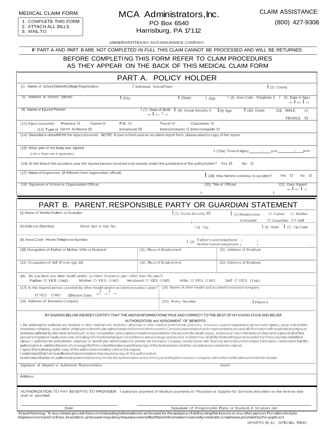MEDICAL CLAIM FORM

1. COMPLETE THIS FORM 2. ATTACH ALL BILLS 3. MAIL TO

#### MCA Administrators, Inc. PO Box 6540 Harrisburg, PA 17112

CLAIM ASSISTANCE:

(800) 427-9308

UNDERWRITTEN BY: AXIS INSURANCE COMPANY

IF PART A AND PART B ARE NOT COMPLETED *IN FULL* THIS CLAIM CANNOT BE PROCESSED AND WILL BE RETURNED.

#### BEFORE COMPLETING THIS FORM REFER TO CLAIM PROCEDURES AS THEY APPEAR ON THE BACK OF THIS MEDICAL CLAIM FORM

|                                                                                                                                                                                                                                                                                                                                                                                                                                                                                                                                                                                                                                                                                                                                                                                                                                                                                                                                                                                                                                                                                                                                                                                                                                                                                                                                                                                                                                                                                                                                                                                                                                                                                                                                                          |                                | PART A. POLICY HOLDER                                          |                                                           |                                           |  |  |  |
|----------------------------------------------------------------------------------------------------------------------------------------------------------------------------------------------------------------------------------------------------------------------------------------------------------------------------------------------------------------------------------------------------------------------------------------------------------------------------------------------------------------------------------------------------------------------------------------------------------------------------------------------------------------------------------------------------------------------------------------------------------------------------------------------------------------------------------------------------------------------------------------------------------------------------------------------------------------------------------------------------------------------------------------------------------------------------------------------------------------------------------------------------------------------------------------------------------------------------------------------------------------------------------------------------------------------------------------------------------------------------------------------------------------------------------------------------------------------------------------------------------------------------------------------------------------------------------------------------------------------------------------------------------------------------------------------------------------------------------------------------------|--------------------------------|----------------------------------------------------------------|-----------------------------------------------------------|-------------------------------------------|--|--|--|
| (1) Name of School District/College/Organization                                                                                                                                                                                                                                                                                                                                                                                                                                                                                                                                                                                                                                                                                                                                                                                                                                                                                                                                                                                                                                                                                                                                                                                                                                                                                                                                                                                                                                                                                                                                                                                                                                                                                                         | I Individual School/Team       |                                                                |                                                           | (2) County                                |  |  |  |
| (3) Address of School: (Street)<br>(City)                                                                                                                                                                                                                                                                                                                                                                                                                                                                                                                                                                                                                                                                                                                                                                                                                                                                                                                                                                                                                                                                                                                                                                                                                                                                                                                                                                                                                                                                                                                                                                                                                                                                                                                |                                | S(tate)<br>(Zip)                                               | $\mid$ (4) Area Code - Telephone #                        | (5) Date of Injury<br>MO DOVY YR          |  |  |  |
| (6) Name of Injured Person                                                                                                                                                                                                                                                                                                                                                                                                                                                                                                                                                                                                                                                                                                                                                                                                                                                                                                                                                                                                                                                                                                                                                                                                                                                                                                                                                                                                                                                                                                                                                                                                                                                                                                                               | (7) Date of Birth<br>MO DAY YR | $(8)$ Social Security #                                        | $(9)$ Age<br>$(10)$ Grade                                 | $(11)$ MALE<br>$\circ$<br>FEMALE O        |  |  |  |
| Practice O<br>P.E. O<br>(12) Injury occurred:<br>Game O<br>(13) Type of Sport: At Home O<br>Intramural O                                                                                                                                                                                                                                                                                                                                                                                                                                                                                                                                                                                                                                                                                                                                                                                                                                                                                                                                                                                                                                                                                                                                                                                                                                                                                                                                                                                                                                                                                                                                                                                                                                                 |                                | Travel O<br>Classroom O<br>Interscholastic O Intercollegiate O |                                                           |                                           |  |  |  |
| (14) Describe in detail HOW the injury occurred. NOTE: If your school uses an accident report form, please attach a copy of the report.                                                                                                                                                                                                                                                                                                                                                                                                                                                                                                                                                                                                                                                                                                                                                                                                                                                                                                                                                                                                                                                                                                                                                                                                                                                                                                                                                                                                                                                                                                                                                                                                                  |                                |                                                                |                                                           |                                           |  |  |  |
| (15) What part of the body was injured:<br>(Left or Right side if applicable)                                                                                                                                                                                                                                                                                                                                                                                                                                                                                                                                                                                                                                                                                                                                                                                                                                                                                                                                                                                                                                                                                                                                                                                                                                                                                                                                                                                                                                                                                                                                                                                                                                                                            |                                |                                                                |                                                           |                                           |  |  |  |
| (16) At the time of the accident, was the injured person involved inan activity under the jurisdiction of the policyholder? Yes O                                                                                                                                                                                                                                                                                                                                                                                                                                                                                                                                                                                                                                                                                                                                                                                                                                                                                                                                                                                                                                                                                                                                                                                                                                                                                                                                                                                                                                                                                                                                                                                                                        |                                |                                                                | No O                                                      |                                           |  |  |  |
| (17) Name of Supervisor (If different from organization official)                                                                                                                                                                                                                                                                                                                                                                                                                                                                                                                                                                                                                                                                                                                                                                                                                                                                                                                                                                                                                                                                                                                                                                                                                                                                                                                                                                                                                                                                                                                                                                                                                                                                                        |                                |                                                                | (18) Was he/she a witness to accident?                    | Yes O<br>No O                             |  |  |  |
| (19) Signature of School or Organization Official                                                                                                                                                                                                                                                                                                                                                                                                                                                                                                                                                                                                                                                                                                                                                                                                                                                                                                                                                                                                                                                                                                                                                                                                                                                                                                                                                                                                                                                                                                                                                                                                                                                                                                        |                                |                                                                | (20) Title of Official                                    | (21) Date Signed<br>MO DAY YR             |  |  |  |
|                                                                                                                                                                                                                                                                                                                                                                                                                                                                                                                                                                                                                                                                                                                                                                                                                                                                                                                                                                                                                                                                                                                                                                                                                                                                                                                                                                                                                                                                                                                                                                                                                                                                                                                                                          |                                |                                                                |                                                           |                                           |  |  |  |
| PART B. PARENT, RESPONSIBLE PARTY OR GUARDIAN STATEMENT                                                                                                                                                                                                                                                                                                                                                                                                                                                                                                                                                                                                                                                                                                                                                                                                                                                                                                                                                                                                                                                                                                                                                                                                                                                                                                                                                                                                                                                                                                                                                                                                                                                                                                  |                                |                                                                |                                                           |                                           |  |  |  |
| (1) Name of Mother/Father or Guardian                                                                                                                                                                                                                                                                                                                                                                                                                                                                                                                                                                                                                                                                                                                                                                                                                                                                                                                                                                                                                                                                                                                                                                                                                                                                                                                                                                                                                                                                                                                                                                                                                                                                                                                    |                                | $(2)$ Social Security #                                        | (3) Relationship<br>to insured                            | O Father<br>O Mother<br>O Guardian O Self |  |  |  |
| Street (Lot or Apt. No.)<br>(4) Address (Number)                                                                                                                                                                                                                                                                                                                                                                                                                                                                                                                                                                                                                                                                                                                                                                                                                                                                                                                                                                                                                                                                                                                                                                                                                                                                                                                                                                                                                                                                                                                                                                                                                                                                                                         |                                | $(5)$ City                                                     |                                                           | $(6)$ State<br>(7) Zip Code               |  |  |  |
| (8) Area Code - Home Telephone Number                                                                                                                                                                                                                                                                                                                                                                                                                                                                                                                                                                                                                                                                                                                                                                                                                                                                                                                                                                                                                                                                                                                                                                                                                                                                                                                                                                                                                                                                                                                                                                                                                                                                                                                    |                                | (9)                                                            | Father's work telephone (<br>Mother's work telephone (    |                                           |  |  |  |
| (10) Occupation of Father or Mother, Wife or Husband                                                                                                                                                                                                                                                                                                                                                                                                                                                                                                                                                                                                                                                                                                                                                                                                                                                                                                                                                                                                                                                                                                                                                                                                                                                                                                                                                                                                                                                                                                                                                                                                                                                                                                     |                                | (11) Place of Employment                                       | (12) Address of Employer                                  |                                           |  |  |  |
| (13) Occupation of Self (If over age 18)                                                                                                                                                                                                                                                                                                                                                                                                                                                                                                                                                                                                                                                                                                                                                                                                                                                                                                                                                                                                                                                                                                                                                                                                                                                                                                                                                                                                                                                                                                                                                                                                                                                                                                                 |                                | (14) Pace of Employment<br>(15) Address of Employer            |                                                           |                                           |  |  |  |
| (16) Do you have any other health and/or accident lnsurance plan (other than this plan?)<br>Father: O YES ONO<br>Mother: O YES ONO                                                                                                                                                                                                                                                                                                                                                                                                                                                                                                                                                                                                                                                                                                                                                                                                                                                                                                                                                                                                                                                                                                                                                                                                                                                                                                                                                                                                                                                                                                                                                                                                                       | Husband: O YES ONO             | Wife: O YES ONO                                                | Self: O YES O NO                                          |                                           |  |  |  |
| (17) Is the Injured person covered by other health and/or accident Insurance plan?   (18) Name of other health and accident Insurance company                                                                                                                                                                                                                                                                                                                                                                                                                                                                                                                                                                                                                                                                                                                                                                                                                                                                                                                                                                                                                                                                                                                                                                                                                                                                                                                                                                                                                                                                                                                                                                                                            |                                |                                                                |                                                           |                                           |  |  |  |
| DAY YR<br>MO <sup>"</sup><br>O YES<br>$\bigcirc$ NO<br><b>Effective Date</b>                                                                                                                                                                                                                                                                                                                                                                                                                                                                                                                                                                                                                                                                                                                                                                                                                                                                                                                                                                                                                                                                                                                                                                                                                                                                                                                                                                                                                                                                                                                                                                                                                                                                             |                                |                                                                |                                                           |                                           |  |  |  |
| (19) Address of Insurance Company                                                                                                                                                                                                                                                                                                                                                                                                                                                                                                                                                                                                                                                                                                                                                                                                                                                                                                                                                                                                                                                                                                                                                                                                                                                                                                                                                                                                                                                                                                                                                                                                                                                                                                                        |                                | (20) Policy Number                                             | $I$ Phone#                                                |                                           |  |  |  |
| BY SIGNING BELOW IHEREBY CERTIFY THAT THE ABOVENFORMATIONS TRUE AND CORRECT TO THE BEST OF MY KNOWLEDGE AND BELIEF<br>AUTHORIZATION and ASSIGNMENT OF BENEFITS<br>I, the undersigned authorize any hospital or other medical-care institution, physician or other medical professional, pharmacy, Insurance support organization, government agency, group policyholder,<br>Insurance company, association, employer or benefit plan administrator to furnish to the Insurance Company named above or its representative any and all Information with respect to any Injury or<br>sickness suffered by, the medical history of . or any consultation, prescription or treatment provided to, the person who death. injury, sickness or loss is the basis of claim and copies of all of that<br>person's hospital or medical records, Including Information relating to mental Illness and use drugs and alcohol, to determine ellgIbillty for benefit payments under the Polley Number Identified<br>above. I authorize the policyholder, employer or benefit plan administration to provide the Insurance Company named above with financial and employment-related information. I understand that this<br>authorization is valid for the term of coverage the Policy identified above and that a copy of this Authorization shall be considered as validas the original.<br>I agree that a photographic copy of this authorization shall be valid as the original.<br>I understand that I or my authorized representative may request a copy of this authorization.<br>lunderstand that lor my authorized representative may revoke this authorization at any time by providing the insurance company with written notificationas to Intent to revoke. |                                |                                                                |                                                           |                                           |  |  |  |
| Signature of Insured or Authorized Representative<br>Dated                                                                                                                                                                                                                                                                                                                                                                                                                                                                                                                                                                                                                                                                                                                                                                                                                                                                                                                                                                                                                                                                                                                                                                                                                                                                                                                                                                                                                                                                                                                                                                                                                                                                                               |                                |                                                                |                                                           |                                           |  |  |  |
| Address                                                                                                                                                                                                                                                                                                                                                                                                                                                                                                                                                                                                                                                                                                                                                                                                                                                                                                                                                                                                                                                                                                                                                                                                                                                                                                                                                                                                                                                                                                                                                                                                                                                                                                                                                  |                                |                                                                |                                                           |                                           |  |  |  |
| AUTHORIZATION TO PAY BENEFITS TO PROVIDER: I authorize payment of Medical payments to Physician or Supplier for Services described on the reverse side<br>and/ or attached.                                                                                                                                                                                                                                                                                                                                                                                                                                                                                                                                                                                                                                                                                                                                                                                                                                                                                                                                                                                                                                                                                                                                                                                                                                                                                                                                                                                                                                                                                                                                                                              |                                |                                                                |                                                           |                                           |  |  |  |
| Date<br>Eraud Warning: "It is a crimeto provide false or misleading Information to an Insurarfor the purpose of defrauding the Insurar or any other person. Penalties Include                                                                                                                                                                                                                                                                                                                                                                                                                                                                                                                                                                                                                                                                                                                                                                                                                                                                                                                                                                                                                                                                                                                                                                                                                                                                                                                                                                                                                                                                                                                                                                            |                                |                                                                | Signature of Responsible Party or Student if 18 years old |                                           |  |  |  |

Fraud Warning: "It isa crimeto providefalse or misleading Information to an Insurer for the purpose of defrauding the Insurer or any other person. Penalties Include<br>Imprisonment and /orfines. Inaddition, an Insurer may den